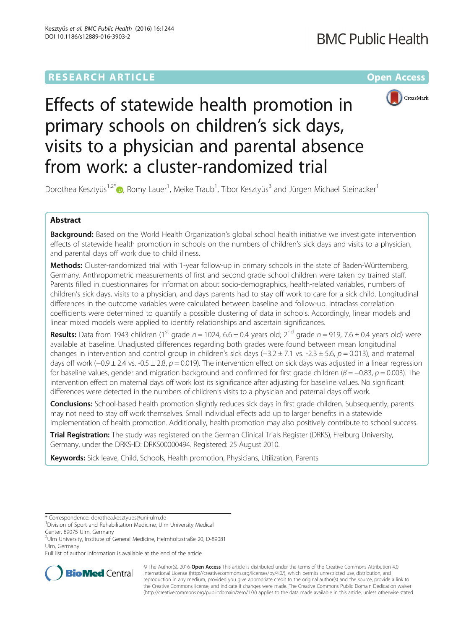

# Effects of statewide health promotion in primary schools on children's sick days, visits to a physician and parental absence from work: a cluster-randomized trial

Dorothea Kesztyüs<sup>1[,](http://orcid.org/0000-0002-2166-846X)2\*</sup>®, Romy Lauer<sup>1</sup>, Meike Traub<sup>1</sup>, Tibor Kesztyüs<sup>3</sup> and Jürgen Michael Steinacker<sup>1</sup>

# Abstract

Background: Based on the World Health Organization's global school health initiative we investigate intervention effects of statewide health promotion in schools on the numbers of children's sick days and visits to a physician, and parental days off work due to child illness.

Methods: Cluster-randomized trial with 1-year follow-up in primary schools in the state of Baden-Württemberg, Germany. Anthropometric measurements of first and second grade school children were taken by trained staff. Parents filled in questionnaires for information about socio-demographics, health-related variables, numbers of children's sick days, visits to a physician, and days parents had to stay off work to care for a sick child. Longitudinal differences in the outcome variables were calculated between baseline and follow-up. Intraclass correlation coefficients were determined to quantify a possible clustering of data in schools. Accordingly, linear models and linear mixed models were applied to identify relationships and ascertain significances.

**Results:** Data from 1943 children (1<sup>st</sup> grade  $n = 1024$ , 6.6 ± 0.4 years old; 2<sup>nd</sup> grade  $n = 919$ , 7.6 ± 0.4 years old) were available at baseline. Unadjusted differences regarding both grades were found between mean longitudinal changes in intervention and control group in children's sick days  $(-3.2 \pm 7.1 \text{ vs. } -2.3 \pm 5.6, p = 0.013)$ , and maternal days off work (−0.9 ± 2.4 vs. -0.5 ± 2.8,  $p = 0.019$ ). The intervention effect on sick days was adjusted in a linear regression for baseline values, gender and migration background and confirmed for first grade children ( $B = -0.83$ ,  $p = 0.003$ ). The intervention effect on maternal days off work lost its significance after adjusting for baseline values. No significant differences were detected in the numbers of children's visits to a physician and paternal days off work.

Conclusions: School-based health promotion slightly reduces sick days in first grade children. Subsequently, parents may not need to stay off work themselves. Small individual effects add up to larger benefits in a statewide implementation of health promotion. Additionally, health promotion may also positively contribute to school success.

Trial Registration: The study was registered on the German Clinical Trials Register (DRKS), Freiburg University, Germany, under the DRKS-ID: [DRKS00000494.](https://drks-neu.uniklinik-freiburg.de/drks_web/navigate.do?navigationId=trial.HTML&TRIAL_ID=DRKS00000494) Registered: 25 August 2010.

Keywords: Sick leave, Child, Schools, Health promotion, Physicians, Utilization, Parents

Center, 89075 Ulm, Germany

Full list of author information is available at the end of the article



© The Author(s). 2016 Open Access This article is distributed under the terms of the Creative Commons Attribution 4.0 International License [\(http://creativecommons.org/licenses/by/4.0/](http://creativecommons.org/licenses/by/4.0/)), which permits unrestricted use, distribution, and reproduction in any medium, provided you give appropriate credit to the original author(s) and the source, provide a link to the Creative Commons license, and indicate if changes were made. The Creative Commons Public Domain Dedication waiver [\(http://creativecommons.org/publicdomain/zero/1.0/](http://creativecommons.org/publicdomain/zero/1.0/)) applies to the data made available in this article, unless otherwise stated.

<sup>\*</sup> Correspondence: [dorothea.kesztyues@uni-ulm.de](mailto:dorothea.kesztyues@uni-ulm.de) <sup>1</sup>

<sup>&</sup>lt;sup>1</sup>Division of Sport and Rehabilitation Medicine, Ulm University Medical

<sup>2</sup> Ulm University, Institute of General Medicine, Helmholtzstraße 20, D-89081 Ulm, Germany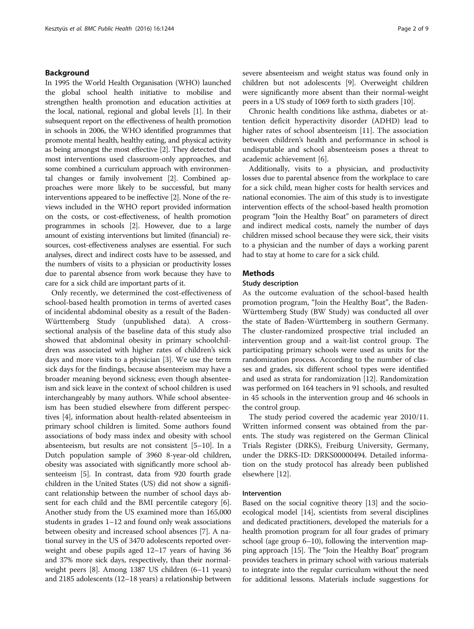## <span id="page-1-0"></span>Background

In 1995 the World Health Organisation (WHO) launched the global school health initiative to mobilise and strengthen health promotion and education activities at the local, national, regional and global levels [[1\]](#page-8-0). In their subsequent report on the effectiveness of health promotion in schools in 2006, the WHO identified programmes that promote mental health, healthy eating, and physical activity as being amongst the most effective [[2](#page-8-0)]. They detected that most interventions used classroom-only approaches, and some combined a curriculum approach with environmental changes or family involvement [[2](#page-8-0)]. Combined approaches were more likely to be successful, but many interventions appeared to be ineffective [\[2](#page-8-0)]. None of the reviews included in the WHO report provided information on the costs, or cost-effectiveness, of health promotion programmes in schools [[2](#page-8-0)]. However, due to a large amount of existing interventions but limited (financial) resources, cost-effectiveness analyses are essential. For such analyses, direct and indirect costs have to be assessed, and the numbers of visits to a physician or productivity losses due to parental absence from work because they have to care for a sick child are important parts of it.

Only recently, we determined the cost-effectiveness of school-based health promotion in terms of averted cases of incidental abdominal obesity as a result of the Baden-Württemberg Study (unpublished data). A crosssectional analysis of the baseline data of this study also showed that abdominal obesity in primary schoolchildren was associated with higher rates of children's sick days and more visits to a physician [\[3](#page-8-0)]. We use the term sick days for the findings, because absenteeism may have a broader meaning beyond sickness; even though absenteeism and sick leave in the context of school children is used interchangeably by many authors. While school absenteeism has been studied elsewhere from different perspectives [\[4](#page-8-0)], information about health-related absenteeism in primary school children is limited. Some authors found associations of body mass index and obesity with school absenteeism, but results are not consistent [\[5](#page-8-0)–[10](#page-8-0)]. In a Dutch population sample of 3960 8-year-old children, obesity was associated with significantly more school absenteeism [\[5](#page-8-0)]. In contrast, data from 920 fourth grade children in the United States (US) did not show a significant relationship between the number of school days absent for each child and the BMI percentile category [[6](#page-8-0)]. Another study from the US examined more than 165,000 students in grades 1–12 and found only weak associations between obesity and increased school absences [[7\]](#page-8-0). A national survey in the US of 3470 adolescents reported overweight and obese pupils aged 12–17 years of having 36 and 37% more sick days, respectively, than their normalweight peers [\[8](#page-8-0)]. Among 1387 US children (6–11 years) and 2185 adolescents (12–18 years) a relationship between severe absenteeism and weight status was found only in children but not adolescents [\[9](#page-8-0)]. Overweight children were significantly more absent than their normal-weight peers in a US study of 1069 forth to sixth graders [[10](#page-8-0)].

Chronic health conditions like asthma, diabetes or attention deficit hyperactivity disorder (ADHD) lead to higher rates of school absenteeism [\[11](#page-8-0)]. The association between children's health and performance in school is undisputable and school absenteeism poses a threat to academic achievement [[6\]](#page-8-0).

Additionally, visits to a physician, and productivity losses due to parental absence from the workplace to care for a sick child, mean higher costs for health services and national economies. The aim of this study is to investigate intervention effects of the school-based health promotion program "Join the Healthy Boat" on parameters of direct and indirect medical costs, namely the number of days children missed school because they were sick, their visits to a physician and the number of days a working parent had to stay at home to care for a sick child.

## **Methods**

#### Study description

As the outcome evaluation of the school-based health promotion program, "Join the Healthy Boat", the Baden-Württemberg Study (BW Study) was conducted all over the state of Baden-Württemberg in southern Germany. The cluster-randomized prospective trial included an intervention group and a wait-list control group. The participating primary schools were used as units for the randomization process. According to the number of classes and grades, six different school types were identified and used as strata for randomization [[12](#page-8-0)]. Randomization was performed on 164 teachers in 91 schools, and resulted in 45 schools in the intervention group and 46 schools in the control group.

The study period covered the academic year 2010/11. Written informed consent was obtained from the parents. The study was registered on the German Clinical Trials Register (DRKS), Freiburg University, Germany, under the DRKS-ID: DRKS00000494. Detailed information on the study protocol has already been published elsewhere [[12](#page-8-0)].

#### Intervention

Based on the social cognitive theory [\[13\]](#page-8-0) and the socioecological model [\[14\]](#page-8-0), scientists from several disciplines and dedicated practitioners, developed the materials for a health promotion program for all four grades of primary school (age group 6–10), following the intervention mapping approach [\[15\]](#page-8-0). The "Join the Healthy Boat" program provides teachers in primary school with various materials to integrate into the regular curriculum without the need for additional lessons. Materials include suggestions for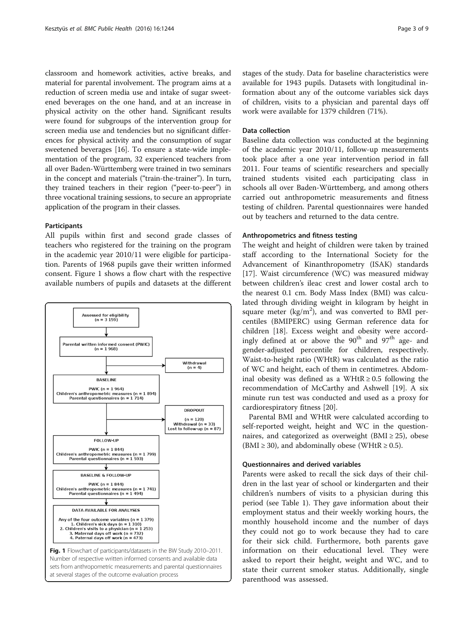classroom and homework activities, active breaks, and material for parental involvement. The program aims at a reduction of screen media use and intake of sugar sweetened beverages on the one hand, and at an increase in physical activity on the other hand. Significant results were found for subgroups of the intervention group for screen media use and tendencies but no significant differences for physical activity and the consumption of sugar sweetened beverages [\[16](#page-8-0)]. To ensure a state-wide implementation of the program, 32 experienced teachers from all over Baden-Württemberg were trained in two seminars in the concept and materials ("train-the-trainer"). In turn, they trained teachers in their region ("peer-to-peer") in three vocational training sessions, to secure an appropriate application of the program in their classes.

#### Participants

All pupils within first and second grade classes of teachers who registered for the training on the program in the academic year 2010/11 were eligible for participation. Parents of 1968 pupils gave their written informed consent. Figure 1 shows a flow chart with the respective available numbers of pupils and datasets at the different



stages of the study. Data for baseline characteristics were available for 1943 pupils. Datasets with longitudinal information about any of the outcome variables sick days of children, visits to a physician and parental days off work were available for 1379 children (71%).

## Data collection

Baseline data collection was conducted at the beginning of the academic year 2010/11, follow-up measurements took place after a one year intervention period in fall 2011. Four teams of scientific researchers and specially trained students visited each participating class in schools all over Baden-Württemberg, and among others carried out anthropometric measurements and fitness testing of children. Parental questionnaires were handed out by teachers and returned to the data centre.

#### Anthropometrics and fitness testing

The weight and height of children were taken by trained staff according to the International Society for the Advancement of Kinanthropometry (ISAK) standards [[17\]](#page-8-0). Waist circumference (WC) was measured midway between children's ileac crest and lower costal arch to the nearest 0.1 cm. Body Mass Index (BMI) was calculated through dividing weight in kilogram by height in square meter  $(kg/m^2)$ , and was converted to BMI percentiles (BMIPERC) using German reference data for children [\[18](#page-8-0)]. Excess weight and obesity were accordingly defined at or above the  $90^{th}$  and  $97^{th}$  age- and gender-adjusted percentile for children, respectively. Waist-to-height ratio (WHtR) was calculated as the ratio of WC and height, each of them in centimetres. Abdominal obesity was defined as a WHtR  $\geq$  0.5 following the recommendation of McCarthy and Ashwell [\[19](#page-8-0)]. A six minute run test was conducted and used as a proxy for cardiorespiratory fitness [\[20](#page-8-0)].

Parental BMI and WHtR were calculated according to self-reported weight, height and WC in the questionnaires, and categorized as overweight (BMI  $\geq$  25), obese (BMI  $\geq$  30), and abdominally obese (WHtR  $\geq$  0.5).

#### Questionnaires and derived variables

Parents were asked to recall the sick days of their children in the last year of school or kindergarten and their children's numbers of visits to a physician during this period (see Table [1\)](#page-3-0). They gave information about their employment status and their weekly working hours, the monthly household income and the number of days they could not go to work because they had to care for their sick child. Furthermore, both parents gave information on their educational level. They were asked to report their height, weight and WC, and to state their current smoker status. Additionally, single parenthood was assessed.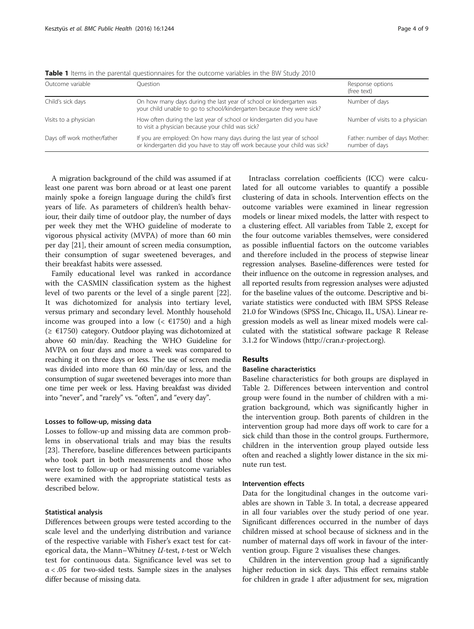| Outcome variable            | Ouestion                                                                                                                                           | Response options<br>(free text)                  |  |
|-----------------------------|----------------------------------------------------------------------------------------------------------------------------------------------------|--------------------------------------------------|--|
| Child's sick days           | On how many days during the last year of school or kindergarten was<br>your child unable to go to school/kindergarten because they were sick?      | Number of days                                   |  |
| Visits to a physician       | How often during the last year of school or kindergarten did you have<br>to visit a physician because your child was sick?                         | Number of visits to a physician                  |  |
| Days off work mother/father | If you are employed: On how many days during the last year of school<br>or kindergarten did you have to stay off work because your child was sick? | Father: number of days Mother:<br>number of days |  |

<span id="page-3-0"></span>**Table 1** Items in the parental questionnaires for the outcome variables in the BW Study 2010

A migration background of the child was assumed if at least one parent was born abroad or at least one parent mainly spoke a foreign language during the child's first years of life. As parameters of children's health behaviour, their daily time of outdoor play, the number of days per week they met the WHO guideline of moderate to vigorous physical activity (MVPA) of more than 60 min per day [[21\]](#page-8-0), their amount of screen media consumption, their consumption of sugar sweetened beverages, and their breakfast habits were assessed.

Family educational level was ranked in accordance with the CASMIN classification system as the highest level of two parents or the level of a single parent [\[22](#page-8-0)]. It was dichotomized for analysis into tertiary level, versus primary and secondary level. Monthly household income was grouped into a low ( $\lt \text{\textsterling}1750$ ) and a high  $(\geq \epsilon 1750)$  category. Outdoor playing was dichotomized at above 60 min/day. Reaching the WHO Guideline for MVPA on four days and more a week was compared to reaching it on three days or less. The use of screen media was divided into more than 60 min/day or less, and the consumption of sugar sweetened beverages into more than one time per week or less. Having breakfast was divided into "never", and "rarely" vs. "often", and "every day".

#### Losses to follow-up, missing data

Losses to follow-up and missing data are common problems in observational trials and may bias the results [[23\]](#page-8-0). Therefore, baseline differences between participants who took part in both measurements and those who were lost to follow-up or had missing outcome variables were examined with the appropriate statistical tests as described below.

## Statistical analysis

Differences between groups were tested according to the scale level and the underlying distribution and variance of the respective variable with Fisher's exact test for categorical data, the Mann–Whitney *U*-test, *t*-test or Welch test for continuous data. Significance level was set to  $\alpha$  < .05 for two-sided tests. Sample sizes in the analyses differ because of missing data.

Intraclass correlation coefficients (ICC) were calculated for all outcome variables to quantify a possible clustering of data in schools. Intervention effects on the outcome variables were examined in linear regression models or linear mixed models, the latter with respect to a clustering effect. All variables from Table [2,](#page-4-0) except for the four outcome variables themselves, were considered as possible influential factors on the outcome variables and therefore included in the process of stepwise linear regression analyses. Baseline-differences were tested for their influence on the outcome in regression analyses, and all reported results from regression analyses were adjusted for the baseline values of the outcome. Descriptive and bivariate statistics were conducted with IBM SPSS Release 21.0 for Windows (SPSS Inc, Chicago, IL, USA). Linear regression models as well as linear mixed models were calculated with the statistical software package R Release 3.1.2 for Windows [\(http://cran.r-project.org](http://cran.r-project.org)).

## Results

## Baseline characteristics

Baseline characteristics for both groups are displayed in Table [2.](#page-4-0) Differences between intervention and control group were found in the number of children with a migration background, which was significantly higher in the intervention group. Both parents of children in the intervention group had more days off work to care for a sick child than those in the control groups. Furthermore, children in the intervention group played outside less often and reached a slightly lower distance in the six minute run test.

#### Intervention effects

Data for the longitudinal changes in the outcome variables are shown in Table [3.](#page-5-0) In total, a decrease appeared in all four variables over the study period of one year. Significant differences occurred in the number of days children missed at school because of sickness and in the number of maternal days off work in favour of the intervention group. Figure [2](#page-5-0) visualises these changes.

Children in the intervention group had a significantly higher reduction in sick days. This effect remains stable for children in grade 1 after adjustment for sex, migration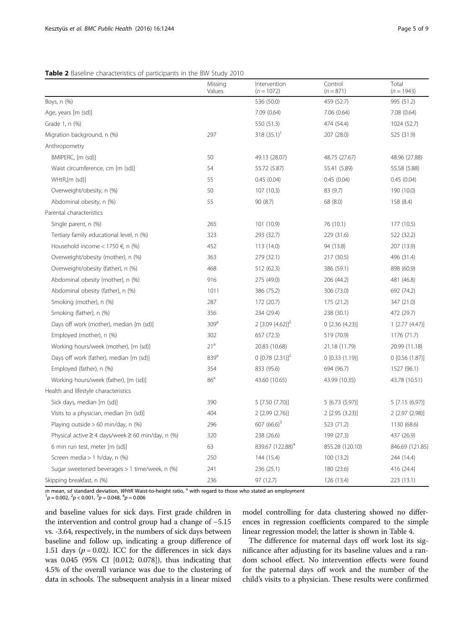## <span id="page-4-0"></span>Table 2 Baseline characteristics of participants in the BW Study 2010

|                                                             | Missing<br>Values | Intervention<br>$(n = 1072)$ | Control<br>$(n = 871)$ | Total<br>$(n = 1943)$ |
|-------------------------------------------------------------|-------------------|------------------------------|------------------------|-----------------------|
| Boys, n (%)                                                 |                   | 536 (50.0)                   | 459 (52.7)             | 995 (51.2)            |
| Age, years [m (sd)]                                         |                   | 7.09(0.64)                   | 7.06(0.64)             | 7.08(0.64)            |
| Grade 1, n (%)                                              |                   | 550 (51.3)                   | 474 (54.4)             | 1024 (52.7)           |
| Migration background, n (%)                                 | 297               | 318 $(35.1)^{1}$             | 207 (28.0)             | 525 (31.9)            |
| Anthropometry                                               |                   |                              |                        |                       |
| BMIPERC, [m (sd)]                                           | 50                | 49.13 (28.07)                | 48.75 (27.67)          | 48.96 (27.88)         |
| Waist circumference, cm [m (sd)]                            | 54                | 55.72 (5.87)                 | 55.41 (5.89)           | 55.58 (5.88)          |
| WHtR, [m (sd)]                                              | 55                | 0.45(0.04)                   | 0.45(0.04)             | 0.45(0.04)            |
| Overweight/obesity, n (%)                                   | 50                | 107 (10.3)                   | 83 (9.7)               | 190 (10.0)            |
| Abdominal obesity, n (%)                                    | 55                | 90(8.7)                      | 68 (8.0)               | 158 (8.4)             |
| Parental characteristics                                    |                   |                              |                        |                       |
| Single parent, n (%)                                        | 265               | 101 (10.9)                   | 76 (10.1)              | 177 (10.5)            |
| Tertiary family educational level, n (%)                    | 323               | 293 (32.7)                   | 229 (31.6)             | 522 (32.2)            |
| Household income < 1750 $\in$ , n (%)                       | 452               | 113(14.0)                    | 94 (13.8)              | 207 (13.9)            |
| Overweight/obesity (mother), n (%)                          | 363               | 279 (32.1)                   | 217 (30.5)             | 496 (31.4)            |
| Overweight/obesity (father), n (%)                          | 468               | 512 (62.3)                   | 386 (59.1)             | 898 (60.9)            |
| Abdominal obesity (mother), n (%)                           | 916               | 275 (49.0)                   | 206 (44.2)             | 481 (46.8)            |
| Abdominal obesity (father), n (%)                           | 1011              | 386 (75.2)                   | 306 (73.0)             | 692 (74.2)            |
| Smoking (mother), n (%)                                     | 287               | 172 (20.7)                   | 175 (21.2)             | 347 (21.0)            |
| Smoking (father), n (%)                                     | 356               | 234 (29.4)                   | 238 (30.1)             | 472 (29.7)            |
| Days off work (mother), median [m (sd)]                     | 309 <sup>a</sup>  | 2 $[3.09 (4.62)]^2$          | $0$ [2.36 (4.23)]      | $1$ [2.77 (4.47)]     |
| Employed (mother), n (%)                                    | 302               | 657 (72.3)                   | 519 (70.9)             | 1176 (71.7)           |
| Working hours/week (mother), [m (sd)]                       | 21 <sup>a</sup>   | 20.83 (10.68)                | 21.18 (11.79)          | 20.99 (11.18)         |
| Days off work (father), median [m (sd)]                     | 839 <sup>a</sup>  | 0 $[0.78 (2.31)]^2$          | $0$ [0.33 (1.19)]      | $0$ [0.56 (1.87)]     |
| Employed (father), n (%)                                    | 354               | 833 (95.6)                   | 694 (96.7)             | 1527 (96.1)           |
| Working hours/week (father), [m (sd)]                       | 86 <sup>a</sup>   | 43.60 (10.65)                | 43.99 (10.35)          | 43.78 (10.51)         |
| Health and lifestyle characteristics                        |                   |                              |                        |                       |
| Sick days, median [m (sd)]                                  | 390               | 5 [7.50 (7.70)]              | 5 [6.73 (5.97)]        | $5$ [7.15 (6.97)]     |
| Visits to a physician, median [m (sd)]                      | 404               | 2 [2.99 (2.76)]              | 2 [2.95 (3.23)]        | 2 [2.97 (2.98)]       |
| Playing outside > 60 min/day, n (%)                         | 296               | 607 $(66.6)^3$               | 523 (71.2)             | 1130 (68.6)           |
| Physical active $\geq$ 4 days/week $\geq$ 60 min/day, n (%) | 320               | 238 (26.6)                   | 199 (27.3)             | 437 (26.9)            |
| 6 min run test, meter [m (sd)]                              | 63                | 839.67 (122.88) <sup>4</sup> | 855.28 (120.10)        | 846.69 (121.85)       |
| Screen media > 1 h/day, n (%)                               | 250               | 144 (15.4)                   | 100 (13.2)             | 244 (14.4)            |
| Sugar sweetened beverages > 1 time/week, n (%)              | 241               | 236 (25.1)                   | 180 (23.6)             | 416 (24.4)            |
| Skipping breakfast, n (%)                                   | 236               | 97 (12.7)                    | 126 (13.4)             | 223 (13.1)            |

 $m$  mean, sd standard deviation, WHtR Waist-to-height ratio,  $a$  with regard to those who stated an employment

 $p = 0.002$ ,  $^{2}p < 0.001$ ,  $^{3}p = 0.048$ ,  $^{4}p = 0.006$ 

and baseline values for sick days. First grade children in the intervention and control group had a change of −5.15 vs. -3.64, respectively, in the numbers of sick days between baseline and follow up, indicating a group difference of 1.51 days ( $p = 0.02$ ). ICC for the differences in sick days was 0.045 (95% CI [0.012; 0.078]), thus indicating that 4.5% of the overall variance was due to the clustering of data in schools. The subsequent analysis in a linear mixed

model controlling for data clustering showed no differences in regression coefficients compared to the simple linear regression model; the latter is shown in Table [4.](#page-6-0)

The difference for maternal days off work lost its significance after adjusting for its baseline values and a random school effect. No intervention effects were found for the paternal days off work and the number of the child's visits to a physician. These results were confirmed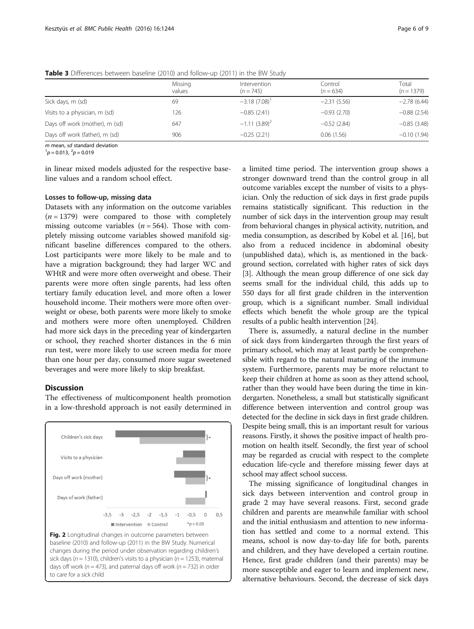|                                | Missing<br>values | Intervention<br>$(n = 745)$ | Control<br>$(n = 634)$ | Total<br>$(n = 1379)$ |
|--------------------------------|-------------------|-----------------------------|------------------------|-----------------------|
| Sick days, m (sd)              | 69                | $-3.18$ (7.08) <sup>1</sup> | $-2.31(5.56)$          | $-2.78(6.44)$         |
| Visits to a physician, m (sd)  | 126               | $-0.85(2.41)$               | $-0.93(2.70)$          | $-0.88(2.54)$         |
| Days off work (mother), m (sd) | 647               | $-1.11(3.89)^{2}$           | $-0.52(2.84)$          | $-0.85(3.48)$         |
| Days off work (father), m (sd) | 906               | $-0.25(2.21)$               | 0.06(1.56)             | $-0.10(1.94)$         |

<span id="page-5-0"></span>Table 3 Differences between baseline (2010) and follow-up (2011) in the BW Study

 $m$  mean, sd standard deviation

 $p = 0.013$ ,  $^{2}p = 0.019$ 

in linear mixed models adjusted for the respective baseline values and a random school effect.

## Losses to follow-up, missing data

Datasets with any information on the outcome variables  $(n = 1379)$  were compared to those with completely missing outcome variables ( $n = 564$ ). Those with completely missing outcome variables showed manifold significant baseline differences compared to the others. Lost participants were more likely to be male and to have a migration background; they had larger WC and WHtR and were more often overweight and obese. Their parents were more often single parents, had less often tertiary family education level, and more often a lower household income. Their mothers were more often overweight or obese, both parents were more likely to smoke and mothers were more often unemployed. Children had more sick days in the preceding year of kindergarten or school, they reached shorter distances in the 6 min run test, were more likely to use screen media for more than one hour per day, consumed more sugar sweetened beverages and were more likely to skip breakfast.

## Discussion

The effectiveness of multicomponent health promotion in a low-threshold approach is not easily determined in



a limited time period. The intervention group shows a stronger downward trend than the control group in all outcome variables except the number of visits to a physician. Only the reduction of sick days in first grade pupils remains statistically significant. This reduction in the number of sick days in the intervention group may result from behavioral changes in physical activity, nutrition, and media consumption, as described by Kobel et al. [\[16\]](#page-8-0), but also from a reduced incidence in abdominal obesity (unpublished data), which is, as mentioned in the [back](#page-1-0)[ground](#page-1-0) section, correlated with higher rates of sick days [[3\]](#page-8-0). Although the mean group difference of one sick day seems small for the individual child, this adds up to 550 days for all first grade children in the intervention group, which is a significant number. Small individual effects which benefit the whole group are the typical results of a public health intervention [\[24\]](#page-8-0).

There is, assumedly, a natural decline in the number of sick days from kindergarten through the first years of primary school, which may at least partly be comprehensible with regard to the natural maturing of the immune system. Furthermore, parents may be more reluctant to keep their children at home as soon as they attend school, rather than they would have been during the time in kindergarten. Nonetheless, a small but statistically significant difference between intervention and control group was detected for the decline in sick days in first grade children. Despite being small, this is an important result for various reasons. Firstly, it shows the positive impact of health promotion on health itself. Secondly, the first year of school may be regarded as crucial with respect to the complete education life-cycle and therefore missing fewer days at school may affect school success.

The missing significance of longitudinal changes in sick days between intervention and control group in grade 2 may have several reasons. First, second grade children and parents are meanwhile familiar with school and the initial enthusiasm and attention to new information has settled and come to a normal extend. This means, school is now day-to-day life for both, parents and children, and they have developed a certain routine. Hence, first grade children (and their parents) may be more susceptible and eager to learn and implement new, alternative behaviours. Second, the decrease of sick days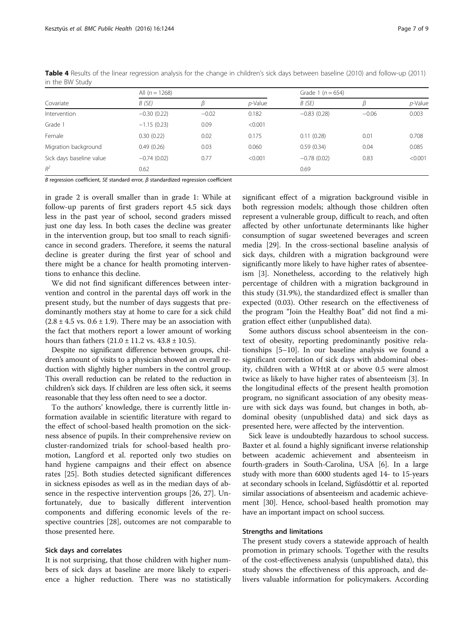| Covariate                | All $(n = 1268)$ |         |            | Grade 1 ( $n = 654$ ) |         |                 |
|--------------------------|------------------|---------|------------|-----------------------|---------|-----------------|
|                          | B(SE)            |         | $p$ -Value | $B$ (SE)              |         | <i>p</i> -Value |
| Intervention             | $-0.30(0.22)$    | $-0.02$ | 0.182      | $-0.83(0.28)$         | $-0.06$ | 0.003           |
| Grade 1                  | $-1.15(0.23)$    | 0.09    | < 0.001    |                       |         |                 |
| Female                   | 0.30(0.22)       | 0.02    | 0.175      | 0.11(0.28)            | 0.01    | 0.708           |
| Migration background     | 0.49(0.26)       | 0.03    | 0.060      | 0.59(0.34)            | 0.04    | 0.085           |
| Sick days baseline value | $-0.74(0.02)$    | 0.77    | < 0.001    | $-0.78(0.02)$         | 0.83    | < 0.001         |
| $R^2$                    | 0.62             |         |            | 0.69                  |         |                 |

<span id="page-6-0"></span>Table 4 Results of the linear regression analysis for the change in children's sick days between baseline (2010) and follow-up (2011) in the BW Study

B regression coefficient, SE standard error,  $\beta$  standardized regression coefficient

in grade 2 is overall smaller than in grade 1: While at follow-up parents of first graders report 4.5 sick days less in the past year of school, second graders missed just one day less. In both cases the decline was greater in the intervention group, but too small to reach significance in second graders. Therefore, it seems the natural decline is greater during the first year of school and there might be a chance for health promoting interventions to enhance this decline.

We did not find significant differences between intervention and control in the parental days off work in the present study, but the number of days suggests that predominantly mothers stay at home to care for a sick child  $(2.8 \pm 4.5 \text{ vs. } 0.6 \pm 1.9)$ . There may be an association with the fact that mothers report a lower amount of working hours than fathers  $(21.0 \pm 11.2 \text{ vs. } 43.8 \pm 10.5)$ .

Despite no significant difference between groups, children's amount of visits to a physician showed an overall reduction with slightly higher numbers in the control group. This overall reduction can be related to the reduction in children's sick days. If children are less often sick, it seems reasonable that they less often need to see a doctor.

To the authors' knowledge, there is currently little information available in scientific literature with regard to the effect of school-based health promotion on the sickness absence of pupils. In their comprehensive review on cluster-randomized trials for school-based health promotion, Langford et al. reported only two studies on hand hygiene campaigns and their effect on absence rates [[25\]](#page-8-0). Both studies detected significant differences in sickness episodes as well as in the median days of absence in the respective intervention groups [[26, 27\]](#page-8-0). Unfortunately, due to basically different intervention components and differing economic levels of the respective countries [\[28\]](#page-8-0), outcomes are not comparable to those presented here.

#### Sick days and correlates

It is not surprising, that those children with higher numbers of sick days at baseline are more likely to experience a higher reduction. There was no statistically

significant effect of a migration background visible in both regression models; although those children often represent a vulnerable group, difficult to reach, and often affected by other unfortunate determinants like higher consumption of sugar sweetened beverages and screen media [[29\]](#page-8-0). In the cross-sectional baseline analysis of sick days, children with a migration background were significantly more likely to have higher rates of absenteeism [[3\]](#page-8-0). Nonetheless, according to the relatively high percentage of children with a migration background in this study (31.9%), the standardized effect is smaller than expected (0.03). Other research on the effectiveness of the program "Join the Healthy Boat" did not find a migration effect either (unpublished data).

Some authors discuss school absenteeism in the context of obesity, reporting predominantly positive relationships [[5](#page-8-0)–[10\]](#page-8-0). In our baseline analysis we found a significant correlation of sick days with abdominal obesity, children with a WHtR at or above 0.5 were almost twice as likely to have higher rates of absenteeism [[3](#page-8-0)]. In the longitudinal effects of the present health promotion program, no significant association of any obesity measure with sick days was found, but changes in both, abdominal obesity (unpublished data) and sick days as presented here, were affected by the intervention.

Sick leave is undoubtedly hazardous to school success. Baxter et al. found a highly significant inverse relationship between academic achievement and absenteeism in fourth-graders in South-Carolina, USA [[6\]](#page-8-0). In a large study with more than 6000 students aged 14- to 15-years at secondary schools in Iceland, Sigfúsdóttir et al. reported similar associations of absenteeism and academic achievement [[30\]](#page-8-0). Hence, school-based health promotion may have an important impact on school success.

#### Strengths and limitations

The present study covers a statewide approach of health promotion in primary schools. Together with the results of the cost-effectiveness analysis (unpublished data), this study shows the effectiveness of this approach, and delivers valuable information for policymakers. According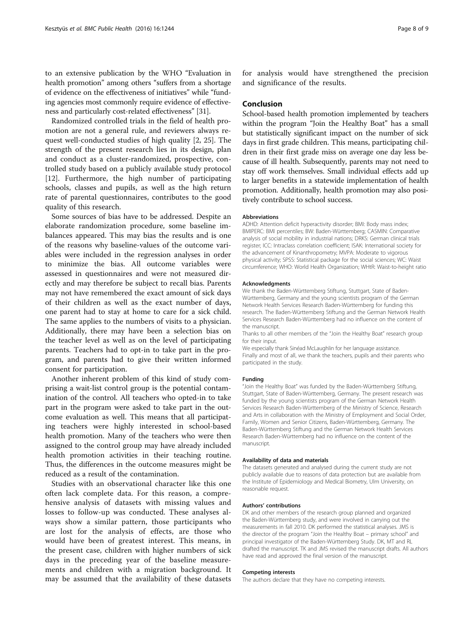to an extensive publication by the WHO "Evaluation in health promotion" among others "suffers from a shortage of evidence on the effectiveness of initiatives" while "funding agencies most commonly require evidence of effectiveness and particularly cost-related effectiveness" [[31\]](#page-8-0).

Randomized controlled trials in the field of health promotion are not a general rule, and reviewers always request well-conducted studies of high quality [[2, 25\]](#page-8-0). The strength of the present research lies in its design, plan and conduct as a cluster-randomized, prospective, controlled study based on a publicly available study protocol [[12\]](#page-8-0). Furthermore, the high number of participating schools, classes and pupils, as well as the high return rate of parental questionnaires, contributes to the good quality of this research.

Some sources of bias have to be addressed. Despite an elaborate randomization procedure, some baseline imbalances appeared. This may bias the results and is one of the reasons why baseline-values of the outcome variables were included in the regression analyses in order to minimize the bias. All outcome variables were assessed in questionnaires and were not measured directly and may therefore be subject to recall bias. Parents may not have remembered the exact amount of sick days of their children as well as the exact number of days, one parent had to stay at home to care for a sick child. The same applies to the numbers of visits to a physician. Additionally, there may have been a selection bias on the teacher level as well as on the level of participating parents. Teachers had to opt-in to take part in the program, and parents had to give their written informed consent for participation.

Another inherent problem of this kind of study comprising a wait-list control group is the potential contamination of the control. All teachers who opted-in to take part in the program were asked to take part in the outcome evaluation as well. This means that all participating teachers were highly interested in school-based health promotion. Many of the teachers who were then assigned to the control group may have already included health promotion activities in their teaching routine. Thus, the differences in the outcome measures might be reduced as a result of the contamination.

Studies with an observational character like this one often lack complete data. For this reason, a comprehensive analysis of datasets with missing values and losses to follow-up was conducted. These analyses always show a similar pattern, those participants who are lost for the analysis of effects, are those who would have been of greatest interest. This means, in the present case, children with higher numbers of sick days in the preceding year of the baseline measurements and children with a migration background. It may be assumed that the availability of these datasets

for analysis would have strengthened the precision and significance of the results.

## Conclusion

School-based health promotion implemented by teachers within the program "Join the Healthy Boat" has a small but statistically significant impact on the number of sick days in first grade children. This means, participating children in their first grade miss on average one day less because of ill health. Subsequently, parents may not need to stay off work themselves. Small individual effects add up to larger benefits in a statewide implementation of health promotion. Additionally, health promotion may also positively contribute to school success.

#### Abbreviations

ADHD: Attention deficit hyperactivity disorder; BMI: Body mass index; BMIPERC: BMI percentiles; BW: Baden-Württemberg; CASMIN: Comparative analysis of social mobility in industrial nations; DRKS: German clinical trials register; ICC: Intraclass correlation coefficient; ISAK: International society for the advancement of Kinanthropometry; MVPA: Moderate to vigorous physical activity; SPSS: Statistical package for the social sciences; WC: Waist circumference; WHO: World Health Organization; WHtR: Waist-to-height ratio

#### Acknowledgments

We thank the Baden-Württemberg Stiftung, Stuttgart, State of Baden-Württemberg, Germany and the young scientists program of the German Network Health Services Research Baden-Württemberg for funding this research. The Baden-Württemberg Stiftung and the German Network Health Services Research Baden-Württemberg had no influence on the content of the manuscript.

Thanks to all other members of the "Join the Healthy Boat" research group for their input.

We especially thank Sinéad McLaughlin for her language assistance. Finally and most of all, we thank the teachers, pupils and their parents who participated in the study.

#### Funding

"Join the Healthy Boat" was funded by the Baden-Württemberg Stiftung, Stuttgart, State of Baden-Württemberg, Germany. The present research was funded by the young scientists program of the German Network Health Services Research Baden-Württemberg of the Ministry of Science, Research and Arts in collaboration with the Ministry of Employment and Social Order, Family, Women and Senior Citizens, Baden-Württemberg, Germany. The Baden-Württemberg Stiftung and the German Network Health Services Research Baden-Württemberg had no influence on the content of the manuscript.

#### Availability of data and materials

The datasets generated and analysed during the current study are not publicly available due to reasons of data protection but are available from the Institute of Epidemiology and Medical Biometry, Ulm University, on reasonable request.

#### Authors' contributions

DK and other members of the research group planned and organized the Baden-Württemberg study, and were involved in carrying out the measurements in fall 2010. DK performed the statistical analyses. JMS is the director of the program "Join the Healthy Boat – primary school" and principal investigator of the Baden-Württemberg Study. DK, MT and RL drafted the manuscript. TK and JMS revised the manuscript drafts. All authors have read and approved the final version of the manuscript.

#### Competing interests

The authors declare that they have no competing interests.